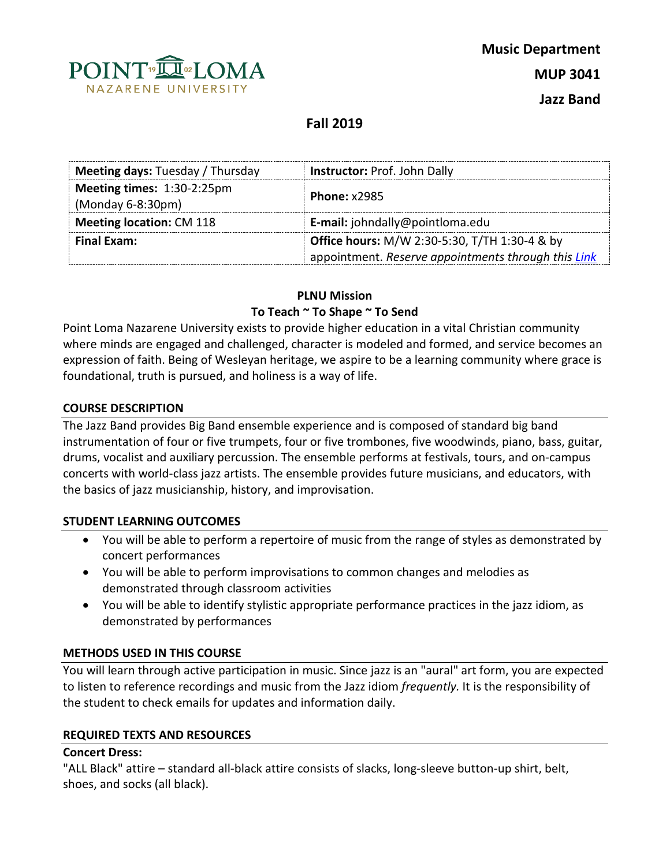

# **Fall 2019**

| <b>Meeting days: Tuesday / Thursday</b>           | Instructor: Prof. John Dally                             |  |  |
|---------------------------------------------------|----------------------------------------------------------|--|--|
| Meeting times: 1:30-2:25pm<br>$(Monday 6-8:30pm)$ | <b>Phone: x2985</b>                                      |  |  |
| <b>Meeting location: CM 118</b>                   | E-mail: johndally@pointloma.edu                          |  |  |
| Final Exam:                                       | <b>Office hours: M/W 2:30-5:30, T/TH 1:30-4 &amp; by</b> |  |  |
|                                                   | appointment. Reserve appointments through this Link      |  |  |

## **PLNU Mission**

## **To Teach ~ To Shape ~ To Send**

Point Loma Nazarene University exists to provide higher education in a vital Christian community where minds are engaged and challenged, character is modeled and formed, and service becomes an expression of faith. Being of Wesleyan heritage, we aspire to be a learning community where grace is foundational, truth is pursued, and holiness is a way of life.

## **COURSE DESCRIPTION**

The Jazz Band provides Big Band ensemble experience and is composed of standard big band instrumentation of four or five trumpets, four or five trombones, five woodwinds, piano, bass, guitar, drums, vocalist and auxiliary percussion. The ensemble performs at festivals, tours, and on-campus concerts with world-class jazz artists. The ensemble provides future musicians, and educators, with the basics of jazz musicianship, history, and improvisation.

## **STUDENT LEARNING OUTCOMES**

- You will be able to perform a repertoire of music from the range of styles as demonstrated by concert performances
- You will be able to perform improvisations to common changes and melodies as demonstrated through classroom activities
- You will be able to identify stylistic appropriate performance practices in the jazz idiom, as demonstrated by performances

## **METHODS USED IN THIS COURSE**

You will learn through active participation in music. Since jazz is an "aural" art form, you are expected to listen to reference recordings and music from the Jazz idiom *frequently.* It is the responsibility of the student to check emails for updates and information daily.

## **REQUIRED TEXTS AND RESOURCES**

## **Concert Dress:**

"ALL Black" attire – standard all-black attire consists of slacks, long-sleeve button-up shirt, belt, shoes, and socks (all black).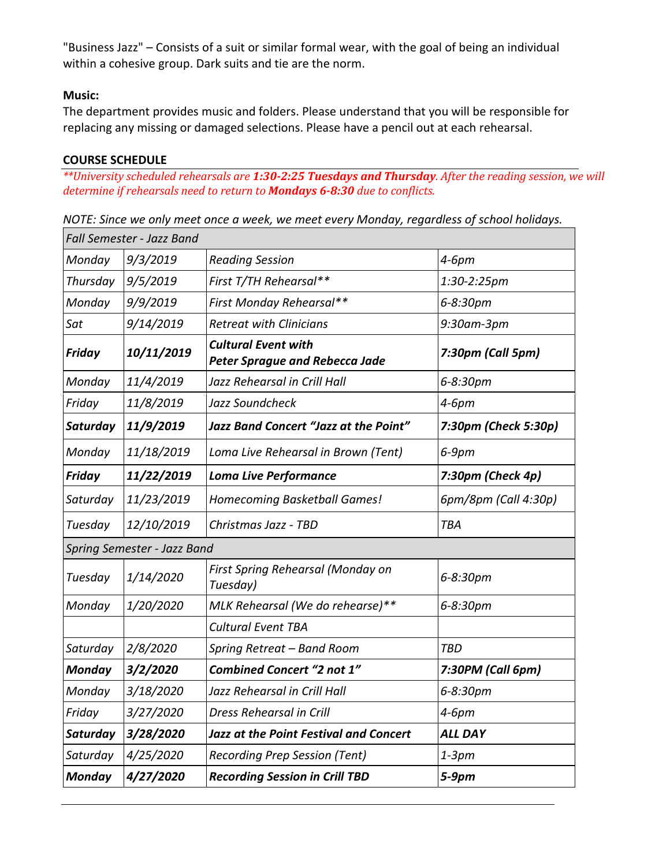"Business Jazz" – Consists of a suit or similar formal wear, with the goal of being an individual within a cohesive group. Dark suits and tie are the norm.

## **Music:**

The department provides music and folders. Please understand that you will be responsible for replacing any missing or damaged selections. Please have a pencil out at each rehearsal.

## **COURSE SCHEDULE**

*\*\*University scheduled rehearsals are 1:30-2:25 Tuesdays and Thursday. After the reading session, we will determine if rehearsals need to return to Mondays 6-8:30 due to conflicts.* 

*NOTE: Since we only meet once a week, we meet every Monday, regardless of school holidays.*

| Fall Semester - Jazz Band   |                                                                     |                      |  |  |
|-----------------------------|---------------------------------------------------------------------|----------------------|--|--|
| 9/3/2019                    | <b>Reading Session</b>                                              | $4-6pm$              |  |  |
| 9/5/2019                    | First T/TH Rehearsal**                                              | 1:30-2:25pm          |  |  |
| 9/9/2019                    | First Monday Rehearsal**                                            | 6-8:30pm             |  |  |
| 9/14/2019                   | <b>Retreat with Clinicians</b>                                      | 9:30am-3pm           |  |  |
| 10/11/2019                  | <b>Cultural Event with</b><br><b>Peter Sprague and Rebecca Jade</b> | 7:30pm (Call 5pm)    |  |  |
| 11/4/2019                   | Jazz Rehearsal in Crill Hall                                        | 6-8:30pm             |  |  |
| 11/8/2019                   | Jazz Soundcheck                                                     | 4-6pm                |  |  |
| 11/9/2019                   | Jazz Band Concert "Jazz at the Point"                               | 7:30pm (Check 5:30p) |  |  |
| 11/18/2019                  | Loma Live Rehearsal in Brown (Tent)                                 | $6-9$ pm             |  |  |
| 11/22/2019                  | <b>Loma Live Performance</b>                                        | 7:30pm (Check 4p)    |  |  |
| 11/23/2019                  | Homecoming Basketball Games!                                        | 6pm/8pm (Call 4:30p) |  |  |
| 12/10/2019                  | Christmas Jazz - TBD                                                | <b>TBA</b>           |  |  |
| Spring Semester - Jazz Band |                                                                     |                      |  |  |
| 1/14/2020                   | First Spring Rehearsal (Monday on<br>Tuesday)                       | 6-8:30pm             |  |  |
| 1/20/2020                   | MLK Rehearsal (We do rehearse)**                                    | 6-8:30pm             |  |  |
|                             | <b>Cultural Event TBA</b>                                           |                      |  |  |
| 2/8/2020                    | Spring Retreat - Band Room                                          | <b>TBD</b>           |  |  |
| 3/2/2020                    | <b>Combined Concert "2 not 1"</b>                                   | 7:30PM (Call 6pm)    |  |  |
| 3/18/2020                   | Jazz Rehearsal in Crill Hall                                        | 6-8:30pm             |  |  |
| 3/27/2020                   | <b>Dress Rehearsal in Crill</b>                                     | 4-6pm                |  |  |
| 3/28/2020                   | <b>Jazz at the Point Festival and Concert</b>                       | <b>ALL DAY</b>       |  |  |
| 4/25/2020                   | <b>Recording Prep Session (Tent)</b>                                | $1-3pm$              |  |  |
| 4/27/2020                   | <b>Recording Session in Crill TBD</b>                               | $5-9pm$              |  |  |
|                             |                                                                     |                      |  |  |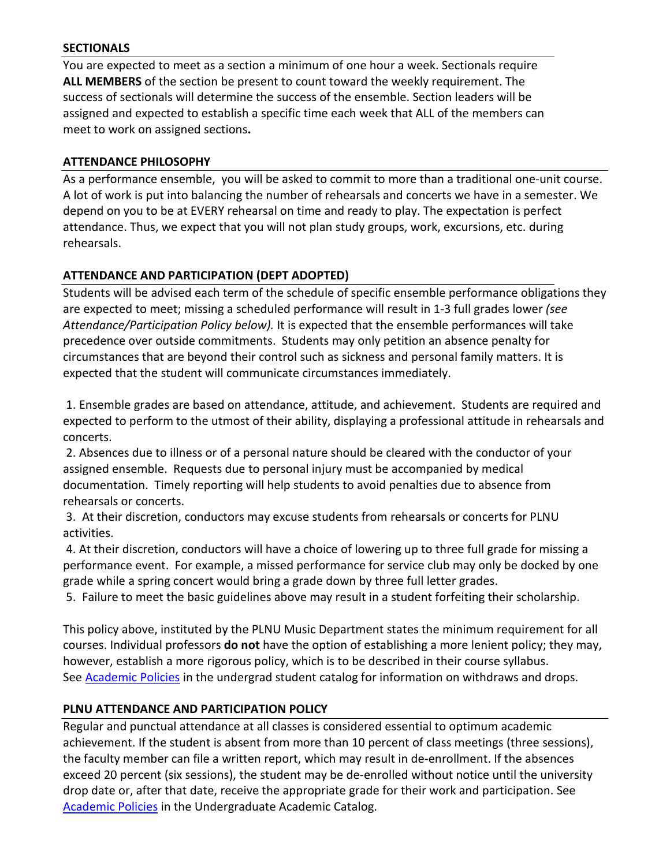## **SECTIONALS**

You are expected to meet as a section a minimum of one hour a week. Sectionals require **ALL MEMBERS** of the section be present to count toward the weekly requirement. The success of sectionals will determine the success of the ensemble. Section leaders will be assigned and expected to establish a specific time each week that ALL of the members can meet to work on assigned sections**.** 

## **ATTENDANCE PHILOSOPHY**

As a performance ensemble, you will be asked to commit to more than a traditional one-unit course. A lot of work is put into balancing the number of rehearsals and concerts we have in a semester. We depend on you to be at EVERY rehearsal on time and ready to play. The expectation is perfect attendance. Thus, we expect that you will not plan study groups, work, excursions, etc. during rehearsals.

## **ATTENDANCE AND PARTICIPATION (DEPT ADOPTED)**

Students will be advised each term of the schedule of specific ensemble performance obligations they are expected to meet; missing a scheduled performance will result in 1-3 full grades lower *(see Attendance/Participation Policy below).* It is expected that the ensemble performances will take precedence over outside commitments. Students may only petition an absence penalty for circumstances that are beyond their control such as sickness and personal family matters. It is expected that the student will communicate circumstances immediately.

1. Ensemble grades are based on attendance, attitude, and achievement. Students are required and expected to perform to the utmost of their ability, displaying a professional attitude in rehearsals and concerts.

2. Absences due to illness or of a personal nature should be cleared with the conductor of your assigned ensemble. Requests due to personal injury must be accompanied by medical documentation. Timely reporting will help students to avoid penalties due to absence from rehearsals or concerts.

3. At their discretion, conductors may excuse students from rehearsals or concerts for PLNU activities.

4. At their discretion, conductors will have a choice of lowering up to three full grade for missing a performance event. For example, a missed performance for service club may only be docked by one grade while a spring concert would bring a grade down by three full letter grades.

5. Failure to meet the basic guidelines above may result in a student forfeiting their scholarship.

This policy above, instituted by the PLNU Music Department states the minimum requirement for all courses. Individual professors **do not** have the option of establishing a more lenient policy; they may, however, establish a more rigorous policy, which is to be described in their course syllabus. See [Academic Policies](http://www.pointloma.edu/experience/academics/catalogs/undergraduate-catalog/point-loma-education/academic-policies) in the undergrad student catalog for information on withdraws and drops.

## **PLNU ATTENDANCE AND PARTICIPATION POLICY**

Regular and punctual attendance at all classes is considered essential to optimum academic achievement. If the student is absent from more than 10 percent of class meetings (three sessions), the faculty member can file a written report, which may result in de-enrollment. If the absences exceed 20 percent (six sessions), the student may be de-enrolled without notice until the university drop date or, after that date, receive the appropriate grade for their work and participation. See [Academic Policies](http://catalog.pointloma.edu/content.php?catoid=18&navoid=1278) in the Undergraduate Academic Catalog.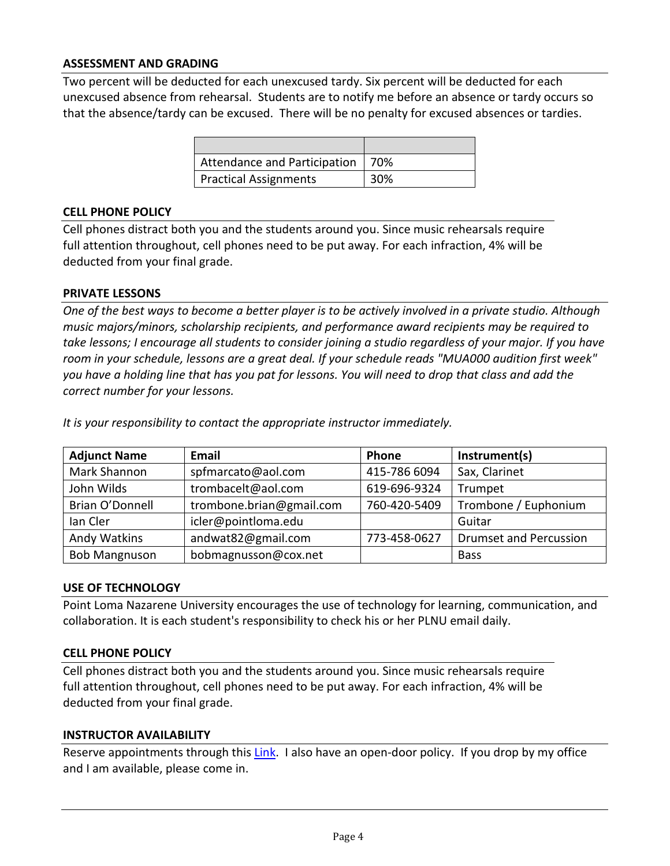## **ASSESSMENT AND GRADING**

Two percent will be deducted for each unexcused tardy. Six percent will be deducted for each unexcused absence from rehearsal. Students are to notify me before an absence or tardy occurs so that the absence/tardy can be excused. There will be no penalty for excused absences or tardies.

| Attendance and Participation   70% |     |
|------------------------------------|-----|
| Practical Assignments              | 30% |

#### **CELL PHONE POLICY**

Cell phones distract both you and the students around you. Since music rehearsals require full attention throughout, cell phones need to be put away. For each infraction, 4% will be deducted from your final grade.

#### **PRIVATE LESSONS**

*One of the best ways to become a better player is to be actively involved in a private studio. Although music majors/minors, scholarship recipients, and performance award recipients may be required to take lessons; I encourage all students to consider joining a studio regardless of your major. If you have room in your schedule, lessons are a great deal. If your schedule reads "MUA000 audition first week" you have a holding line that has you pat for lessons. You will need to drop that class and add the correct number for your lessons.*

| <b>Adjunct Name</b>  | <b>Email</b>             | Phone        | Instrument(s)                 |
|----------------------|--------------------------|--------------|-------------------------------|
| Mark Shannon         | spfmarcato@aol.com       | 415-786 6094 | Sax, Clarinet                 |
| John Wilds           | trombacelt@aol.com       | 619-696-9324 | Trumpet                       |
| Brian O'Donnell      | trombone.brian@gmail.com | 760-420-5409 | Trombone / Euphonium          |
| lan Cler             | icler@pointloma.edu      |              | Guitar                        |
| Andy Watkins         | andwat82@gmail.com       | 773-458-0627 | <b>Drumset and Percussion</b> |
| <b>Bob Mangnuson</b> | bobmagnusson@cox.net     |              | <b>Bass</b>                   |

*It is your responsibility to contact the appropriate instructor immediately.* 

#### **USE OF TECHNOLOGY**

Point Loma Nazarene University encourages the use of technology for learning, communication, and collaboration. It is each student's responsibility to check his or her PLNU email daily.

#### **CELL PHONE POLICY**

Cell phones distract both you and the students around you. Since music rehearsals require full attention throughout, cell phones need to be put away. For each infraction, 4% will be deducted from your final grade.

#### **INSTRUCTOR AVAILABILITY**

Reserve appointments through this [Link.](https://calendar.google.com/calendar/selfsched?sstoken=UUN4aU05Zlc5WDktfGRlZmF1bHR8ODVlM2NmMzE1Yzc4Njg2NmFjMGQwMDVjNDc2NTljNmM) I also have an open-door policy. If you drop by my office and I am available, please come in.